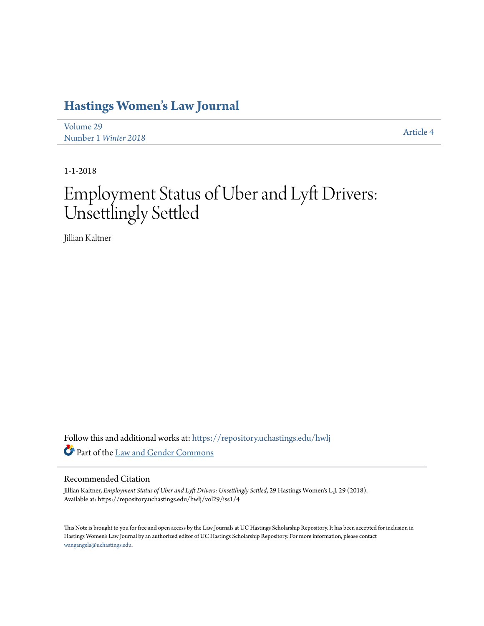# **[Hastings Women's Law Journal](https://repository.uchastings.edu/hwlj?utm_source=repository.uchastings.edu%2Fhwlj%2Fvol29%2Fiss1%2F4&utm_medium=PDF&utm_campaign=PDFCoverPages)**

[Volume 29](https://repository.uchastings.edu/hwlj/vol29?utm_source=repository.uchastings.edu%2Fhwlj%2Fvol29%2Fiss1%2F4&utm_medium=PDF&utm_campaign=PDFCoverPages) Number 1 *[Winter 2018](https://repository.uchastings.edu/hwlj/vol29/iss1?utm_source=repository.uchastings.edu%2Fhwlj%2Fvol29%2Fiss1%2F4&utm_medium=PDF&utm_campaign=PDFCoverPages)* [Article 4](https://repository.uchastings.edu/hwlj/vol29/iss1/4?utm_source=repository.uchastings.edu%2Fhwlj%2Fvol29%2Fiss1%2F4&utm_medium=PDF&utm_campaign=PDFCoverPages)

1-1-2018

# Employment Status of Uber and Lyft Drivers: Unsettlingly Settled

Jillian Kaltner

Follow this and additional works at: [https://repository.uchastings.edu/hwlj](https://repository.uchastings.edu/hwlj?utm_source=repository.uchastings.edu%2Fhwlj%2Fvol29%2Fiss1%2F4&utm_medium=PDF&utm_campaign=PDFCoverPages) Part of the [Law and Gender Commons](http://network.bepress.com/hgg/discipline/1298?utm_source=repository.uchastings.edu%2Fhwlj%2Fvol29%2Fiss1%2F4&utm_medium=PDF&utm_campaign=PDFCoverPages)

# Recommended Citation

Jillian Kaltner, *Employment Status of Uber and Lyft Drivers: Unsettlingly Settled*, 29 Hastings Women's L.J. 29 (2018). Available at: https://repository.uchastings.edu/hwlj/vol29/iss1/4

This Note is brought to you for free and open access by the Law Journals at UC Hastings Scholarship Repository. It has been accepted for inclusion in Hastings Women's Law Journal by an authorized editor of UC Hastings Scholarship Repository. For more information, please contact [wangangela@uchastings.edu](mailto:wangangela@uchastings.edu).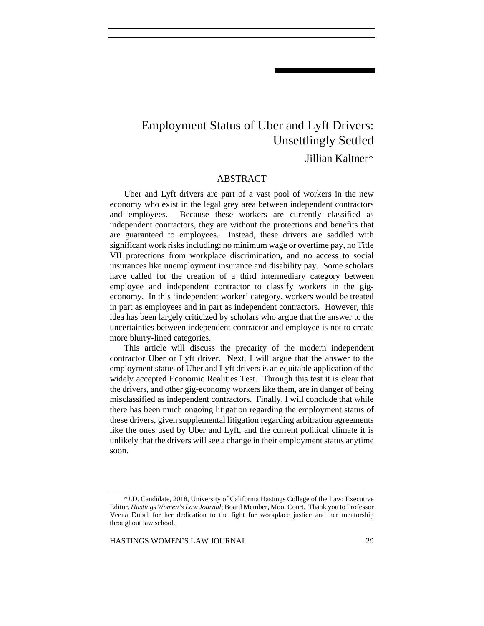# Employment Status of Uber and Lyft Drivers: Unsettlingly Settled

# Jillian Kaltner\*

## ABSTRACT

Uber and Lyft drivers are part of a vast pool of workers in the new economy who exist in the legal grey area between independent contractors and employees. Because these workers are currently classified as independent contractors, they are without the protections and benefits that are guaranteed to employees. Instead, these drivers are saddled with significant work risks including: no minimum wage or overtime pay, no Title VII protections from workplace discrimination, and no access to social insurances like unemployment insurance and disability pay. Some scholars have called for the creation of a third intermediary category between employee and independent contractor to classify workers in the gigeconomy. In this 'independent worker' category, workers would be treated in part as employees and in part as independent contractors. However, this idea has been largely criticized by scholars who argue that the answer to the uncertainties between independent contractor and employee is not to create more blurry-lined categories.

This article will discuss the precarity of the modern independent contractor Uber or Lyft driver. Next, I will argue that the answer to the employment status of Uber and Lyft drivers is an equitable application of the widely accepted Economic Realities Test. Through this test it is clear that the drivers, and other gig-economy workers like them, are in danger of being misclassified as independent contractors. Finally, I will conclude that while there has been much ongoing litigation regarding the employment status of these drivers, given supplemental litigation regarding arbitration agreements like the ones used by Uber and Lyft, and the current political climate it is unlikely that the drivers will see a change in their employment status anytime soon.

HASTINGS WOMEN'S LAW JOURNAL 29

<sup>\*</sup>J.D. Candidate, 2018, University of California Hastings College of the Law; Executive Editor, *Hastings Women's Law Journal*; Board Member, Moot Court. Thank you to Professor Veena Dubal for her dedication to the fight for workplace justice and her mentorship throughout law school.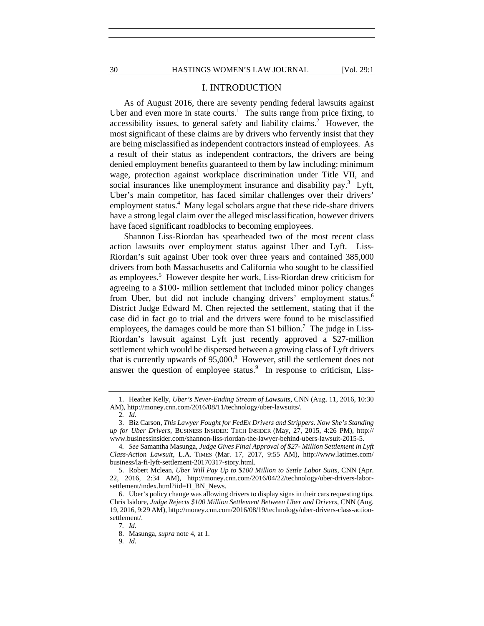#### I. INTRODUCTION

As of August 2016, there are seventy pending federal lawsuits against Uber and even more in state courts.<sup>1</sup> The suits range from price fixing, to  $accessibility$  issues, to general safety and liability claims.<sup>2</sup> However, the most significant of these claims are by drivers who fervently insist that they are being misclassified as independent contractors instead of employees. As a result of their status as independent contractors, the drivers are being denied employment benefits guaranteed to them by law including: minimum wage, protection against workplace discrimination under Title VII, and social insurances like unemployment insurance and disability pay. $3$  Lyft, Uber's main competitor, has faced similar challenges over their drivers' employment status.<sup>4</sup> Many legal scholars argue that these ride-share drivers have a strong legal claim over the alleged misclassification, however drivers have faced significant roadblocks to becoming employees.

Shannon Liss-Riordan has spearheaded two of the most recent class action lawsuits over employment status against Uber and Lyft. Liss-Riordan's suit against Uber took over three years and contained 385,000 drivers from both Massachusetts and California who sought to be classified as employees.<sup>5</sup> However despite her work, Liss-Riordan drew criticism for agreeing to a \$100- million settlement that included minor policy changes from Uber, but did not include changing drivers' employment status.<sup>6</sup> District Judge Edward M. Chen rejected the settlement, stating that if the case did in fact go to trial and the drivers were found to be misclassified employees, the damages could be more than \$1 billion.<sup>7</sup> The judge in Liss-Riordan's lawsuit against Lyft just recently approved a \$27-million settlement which would be dispersed between a growing class of Lyft drivers that is currently upwards of  $95,000$ .<sup>8</sup> However, still the settlement does not answer the question of employee status. $9$  In response to criticism, Liss-

 <sup>1.</sup> Heather Kelly, *Uber's Never-Ending Stream of Lawsuits*, CNN (Aug. 11, 2016, 10:30 AM), http://money.cnn.com/2016/08/11/technology/uber-lawsuits/.

<sup>2</sup>*. Id.* 

 <sup>3.</sup> Biz Carson, *This Lawyer Fought for FedEx Drivers and Strippers. Now She's Standing up for Uber Drivers*, BUSINESS INSIDER: TECH INSIDER (May, 27, 2015, 4:26 PM), http:// www.businessinsider.com/shannon-liss-riordan-the-lawyer-behind-ubers-lawsuit-2015-5.

<sup>4</sup>*. See* Samantha Masunga, *Judge Gives Final Approval of \$27- Million Settlement in Lyft Class-Action Lawsuit*, L.A. TIMES (Mar. 17, 2017, 9:55 AM), http://www.latimes.com/ business/la-fi-lyft-settlement-20170317-story.html.

 <sup>5.</sup> Robert Mclean, *Uber Will Pay Up to \$100 Million to Settle Labor Suits*, CNN (Apr. 22, 2016, 2:34 AM), http://money.cnn.com/2016/04/22/technology/uber-drivers-laborsettlement/index.html?iid=H\_BN\_News.

 <sup>6.</sup> Uber's policy change was allowing drivers to display signs in their cars requesting tips. Chris Isidore, *Judge Rejects \$100 Million Settlement Between Uber and Drivers,* CNN (Aug. 19, 2016, 9:29 AM), http://money.cnn.com/2016/08/19/technology/uber-drivers-class-actionsettlement/.

<sup>7</sup>*. Id.* 

 <sup>8.</sup> Masunga, *supra* note 4, at 1.

<sup>9</sup>*. Id.*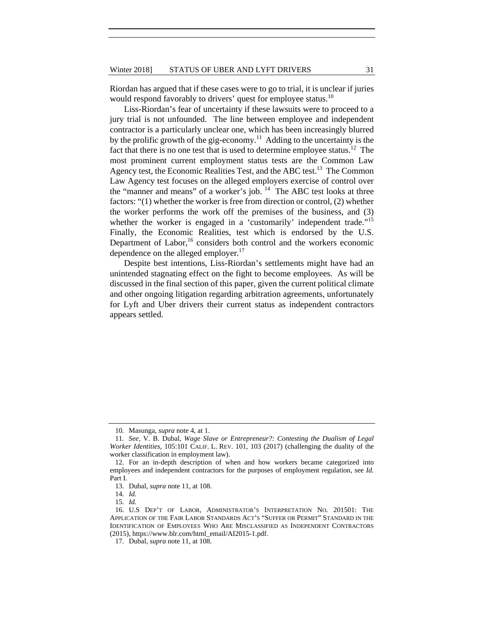Riordan has argued that if these cases were to go to trial, it is unclear if juries would respond favorably to drivers' quest for employee status.<sup>10</sup>

Liss-Riordan's fear of uncertainty if these lawsuits were to proceed to a jury trial is not unfounded. The line between employee and independent contractor is a particularly unclear one, which has been increasingly blurred by the prolific growth of the gig-economy.<sup>11</sup> Adding to the uncertainty is the fact that there is no one test that is used to determine employee status.<sup>12</sup> The most prominent current employment status tests are the Common Law Agency test, the Economic Realities Test, and the ABC test.<sup>13</sup> The Common Law Agency test focuses on the alleged employers exercise of control over the "manner and means" of a worker's job.  $14$  The ABC test looks at three factors: "(1) whether the worker is free from direction or control, (2) whether the worker performs the work off the premises of the business, and (3) whether the worker is engaged in a 'customarily' independent trade."<sup>15</sup> Finally, the Economic Realities, test which is endorsed by the U.S. Department of Labor, $16$  considers both control and the workers economic dependence on the alleged employer.<sup>17</sup>

Despite best intentions, Liss-Riordan's settlements might have had an unintended stagnating effect on the fight to become employees. As will be discussed in the final section of this paper, given the current political climate and other ongoing litigation regarding arbitration agreements, unfortunately for Lyft and Uber drivers their current status as independent contractors appears settled.

<sup>10</sup>*.* Masunga, *supra* note 4, at 1.

<sup>11</sup>*. See,* V. B. Dubal, *Wage Slave or Entrepreneur?: Contesting the Dualism of Legal Worker Identities*, 105:101 CALIF. L. REV. 101, 103 (2017) (challenging the duality of the worker classification in employment law).

 <sup>12.</sup> For an in-depth description of when and how workers became categorized into employees and independent contractors for the purposes of employment regulation, see *Id.*  Part I.

 <sup>13.</sup> Dubal, *supra* note 11, at 108.

<sup>14</sup>*. Id.*

<sup>15</sup>*. Id.*

 <sup>16.</sup> U.S DEP'T OF LABOR, ADMINISTRATOR'S INTERPRETATION NO. 201501: THE APPLICATION OF THE FAIR LABOR STANDARDS ACT'S "SUFFER OR PERMIT" STANDARD IN THE IDENTIFICATION OF EMPLOYEES WHO ARE MISCLASSIFIED AS INDEPENDENT CONTRACTORS (2015), https://www.blr.com/html\_email/AI2015-1.pdf.

 <sup>17.</sup> Dubal, *supra* note 11, at 108.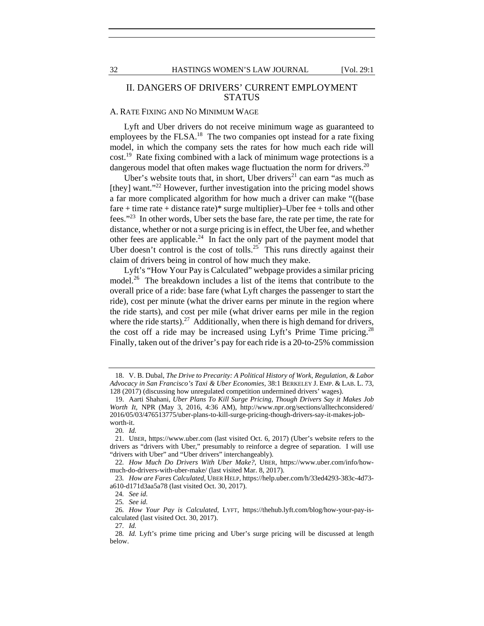# II. DANGERS OF DRIVERS' CURRENT EMPLOYMENT STATUS

## A. RATE FIXING AND NO MINIMUM WAGE

Lyft and Uber drivers do not receive minimum wage as guaranteed to employees by the FLSA.<sup>18</sup> The two companies opt instead for a rate fixing model, in which the company sets the rates for how much each ride will  $\cot^{19}$  Rate fixing combined with a lack of minimum wage protections is a dangerous model that often makes wage fluctuation the norm for drivers.<sup>20</sup>

Uber's website touts that, in short, Uber drivers<sup>21</sup> can earn "as much as [they] want."<sup>22</sup> However, further investigation into the pricing model shows a far more complicated algorithm for how much a driver can make "((base fare  $+$  time rate  $+$  distance rate)\* surge multiplier)–Uber fee  $+$  tolls and other fees."23 In other words, Uber sets the base fare, the rate per time, the rate for distance, whether or not a surge pricing is in effect, the Uber fee, and whether other fees are applicable.24 In fact the only part of the payment model that Uber doesn't control is the cost of tolls.<sup>25</sup> This runs directly against their claim of drivers being in control of how much they make.

Lyft's "How Your Pay is Calculated" webpage provides a similar pricing model.<sup>26</sup> The breakdown includes a list of the items that contribute to the overall price of a ride: base fare (what Lyft charges the passenger to start the ride), cost per minute (what the driver earns per minute in the region where the ride starts), and cost per mile (what driver earns per mile in the region where the ride starts).<sup>27</sup> Additionally, when there is high demand for drivers, the cost off a ride may be increased using Lyft's Prime Time pricing.<sup>28</sup> Finally, taken out of the driver's pay for each ride is a 20-to-25% commission

 <sup>18.</sup> V. B. Dubal, *The Drive to Precarity: A Political History of Work, Regulation, & Labor Advocacy in San Francisco's Taxi & Uber Economies,* 38:1 BERKELEY J. EMP. & LAB. L. 73, 128 (2017) (discussing how unregulated competition undermined drivers' wages).

 <sup>19.</sup> Aarti Shahani, *Uber Plans To Kill Surge Pricing, Though Drivers Say it Makes Job Worth It*, NPR (May 3, 2016, 4:36 AM), http://www.npr.org/sections/alltechconsidered/ 2016/05/03/476513775/uber-plans-to-kill-surge-pricing-though-drivers-say-it-makes-jobworth-it.

<sup>20</sup>*. Id.*

 <sup>21.</sup> UBER, https://www.uber.com (last visited Oct. 6, 2017) (Uber's website refers to the drivers as "drivers with Uber," presumably to reinforce a degree of separation. I will use "drivers with Uber" and "Uber drivers" interchangeably).

<sup>22</sup>*. How Much Do Drivers With Uber Make?*, UBER, https://www.uber.com/info/howmuch-do-drivers-with-uber-make/ (last visited Mar. 8, 2017).

<sup>23</sup>*. How are Fares Calculated*, UBER HELP, https://help.uber.com/h/33ed4293-383c-4d73 a610-d171d3aa5a78 (last visited Oct. 30, 2017).

<sup>24</sup>*. See id.*

<sup>25</sup>*. See id.*

<sup>26</sup>*. How Your Pay is Calculated*, LYFT, https://thehub.lyft.com/blog/how-your-pay-iscalculated (last visited Oct. 30, 2017).

<sup>27</sup>*. Id.* 

<sup>28</sup>*. Id.* Lyft's prime time pricing and Uber's surge pricing will be discussed at length below.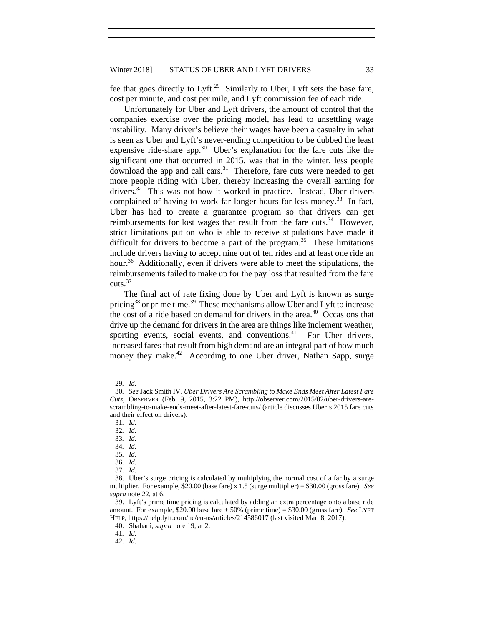fee that goes directly to Lyft.<sup>29</sup> Similarly to Uber, Lyft sets the base fare, cost per minute, and cost per mile, and Lyft commission fee of each ride.

Unfortunately for Uber and Lyft drivers, the amount of control that the companies exercise over the pricing model, has lead to unsettling wage instability. Many driver's believe their wages have been a casualty in what is seen as Uber and Lyft's never-ending competition to be dubbed the least expensive ride-share app.<sup>30</sup> Uber's explanation for the fare cuts like the significant one that occurred in 2015, was that in the winter, less people download the app and call cars. $31$  Therefore, fare cuts were needed to get more people riding with Uber, thereby increasing the overall earning for drivers.<sup>32</sup> This was not how it worked in practice. Instead, Uber drivers complained of having to work far longer hours for less money.<sup>33</sup> In fact, Uber has had to create a guarantee program so that drivers can get reimbursements for lost wages that result from the fare cuts.<sup>34</sup> However, strict limitations put on who is able to receive stipulations have made it difficult for drivers to become a part of the program.<sup>35</sup> These limitations include drivers having to accept nine out of ten rides and at least one ride an hour.<sup>36</sup> Additionally, even if drivers were able to meet the stipulations, the reimbursements failed to make up for the pay loss that resulted from the fare cuts. $37$ 

The final act of rate fixing done by Uber and Lyft is known as surge pricing<sup>38</sup> or prime time.<sup>39</sup> These mechanisms allow Uber and Lyft to increase the cost of a ride based on demand for drivers in the area. $40$  Occasions that drive up the demand for drivers in the area are things like inclement weather, sporting events, social events, and conventions.<sup>41</sup> For Uber drivers, increased fares that result from high demand are an integral part of how much money they make.<sup>42</sup> According to one Uber driver, Nathan Sapp, surge

41*. Id.* 

<sup>29</sup>*. Id.*

<sup>30</sup>*. See* Jack Smith IV, *Uber Drivers Are Scrambling to Make Ends Meet After Latest Fare Cuts*, OBSERVER (Feb. 9, 2015, 3:22 PM), http://observer.com/2015/02/uber-drivers-arescrambling-to-make-ends-meet-after-latest-fare-cuts/ (article discusses Uber's 2015 fare cuts and their effect on drivers).

<sup>31</sup>*. Id.*

<sup>32</sup>*. Id.*

<sup>33</sup>*. Id.*

<sup>34</sup>*. Id.*

<sup>35</sup>*. Id.*

<sup>36</sup>*. Id.*

<sup>37</sup>*. Id.*

 <sup>38.</sup> Uber's surge pricing is calculated by multiplying the normal cost of a far by a surge multiplier. For example, \$20.00 (base fare) x 1.5 (surge multiplier) = \$30.00 (gross fare). *See supra* note 22, at 6.

 <sup>39.</sup> Lyft's prime time pricing is calculated by adding an extra percentage onto a base ride amount. For example, \$20.00 base fare + 50% (prime time) = \$30.00 (gross fare). *See* LYFT HELP, https://help.lyft.com/hc/en-us/articles/214586017 (last visited Mar. 8, 2017).

 <sup>40.</sup> Shahani, *supra* note 19, at 2.

<sup>42</sup>*. Id.*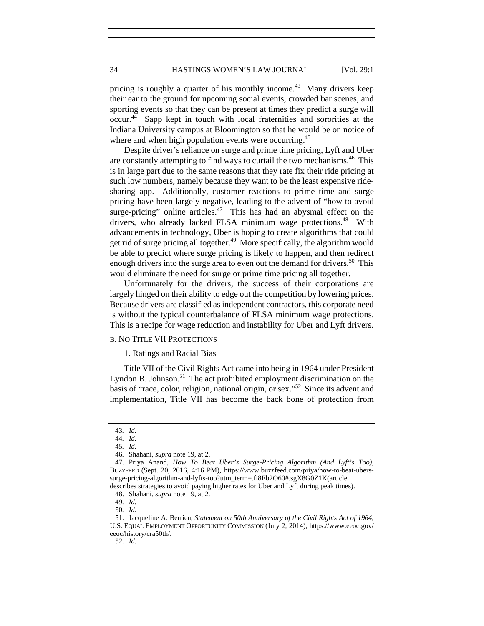pricing is roughly a quarter of his monthly income.<sup>43</sup> Many drivers keep their ear to the ground for upcoming social events, crowded bar scenes, and sporting events so that they can be present at times they predict a surge will occur.44 Sapp kept in touch with local fraternities and sororities at the Indiana University campus at Bloomington so that he would be on notice of where and when high population events were occurring.<sup>45</sup>

Despite driver's reliance on surge and prime time pricing, Lyft and Uber are constantly attempting to find ways to curtail the two mechanisms.<sup>46</sup> This is in large part due to the same reasons that they rate fix their ride pricing at such low numbers, namely because they want to be the least expensive ridesharing app. Additionally, customer reactions to prime time and surge pricing have been largely negative, leading to the advent of "how to avoid surge-pricing" online articles. $47$  This has had an abysmal effect on the drivers, who already lacked FLSA minimum wage protections.<sup>48</sup> With advancements in technology, Uber is hoping to create algorithms that could get rid of surge pricing all together.<sup>49</sup> More specifically, the algorithm would be able to predict where surge pricing is likely to happen, and then redirect enough drivers into the surge area to even out the demand for drivers.<sup>50</sup> This would eliminate the need for surge or prime time pricing all together.

Unfortunately for the drivers, the success of their corporations are largely hinged on their ability to edge out the competition by lowering prices. Because drivers are classified as independent contractors, this corporate need is without the typical counterbalance of FLSA minimum wage protections. This is a recipe for wage reduction and instability for Uber and Lyft drivers.

#### B. NO TITLE VII PROTECTIONS

1. Ratings and Racial Bias

 Title VII of the Civil Rights Act came into being in 1964 under President Lyndon B. Johnson.<sup>51</sup> The act prohibited employment discrimination on the basis of "race, color, religion, national origin, or sex."52 Since its advent and implementation, Title VII has become the back bone of protection from

<sup>43</sup>*. Id.*

<sup>44</sup>*. Id.*

<sup>45</sup>*. Id.*

<sup>46</sup>*.* Shahani, *supra* note 19, at 2.

 <sup>47.</sup> Priya Anand, *How To Beat Uber's Surge-Pricing Algorithm (And Lyft's Too)*, BUZZFEED (Sept. 20, 2016, 4:16 PM), https://www.buzzfeed.com/priya/how-to-beat-uberssurge-pricing-algorithm-and-lyfts-too?utm\_term=.fi8Eb2O60#.sgX8G0Z1K(article describes strategies to avoid paying higher rates for Uber and Lyft during peak times).

 <sup>48.</sup> Shahani, *supra* note 19, at 2.

<sup>49</sup>*. Id.*

<sup>50</sup>*. Id.*

 <sup>51.</sup> Jacqueline A. Berrien, *Statement on 50th Anniversary of the Civil Rights Act of 1964*, U.S. EQUAL EMPLOYMENT OPPORTUNITY COMMISSION (July 2, 2014), https://www.eeoc.gov/

eeoc/history/cra50th/.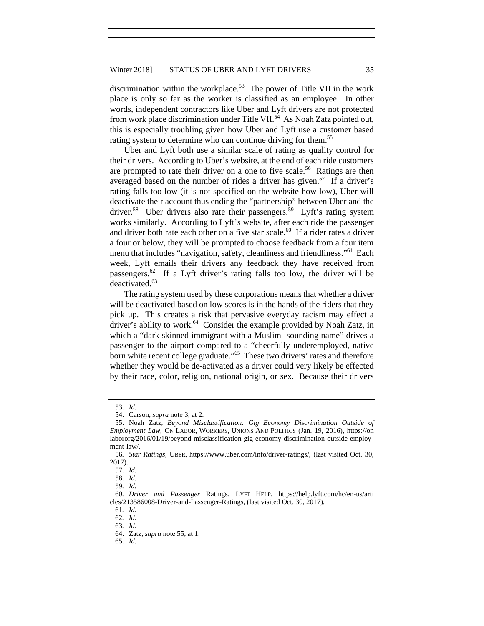discrimination within the workplace.<sup>53</sup> The power of Title VII in the work place is only so far as the worker is classified as an employee. In other words, independent contractors like Uber and Lyft drivers are not protected from work place discrimination under Title VII.<sup>54</sup> As Noah Zatz pointed out, this is especially troubling given how Uber and Lyft use a customer based rating system to determine who can continue driving for them.<sup>55</sup>

Uber and Lyft both use a similar scale of rating as quality control for their drivers. According to Uber's website, at the end of each ride customers are prompted to rate their driver on a one to five scale.<sup>56</sup> Ratings are then averaged based on the number of rides a driver has given.<sup>57</sup> If a driver's rating falls too low (it is not specified on the website how low), Uber will deactivate their account thus ending the "partnership" between Uber and the driver.<sup>58</sup> Uber drivers also rate their passengers.<sup>59</sup> Lyft's rating system works similarly. According to Lyft's website, after each ride the passenger and driver both rate each other on a five star scale.<sup>60</sup> If a rider rates a driver a four or below, they will be prompted to choose feedback from a four item menu that includes "navigation, safety, cleanliness and friendliness."<sup>61</sup> Each week, Lyft emails their drivers any feedback they have received from passengers.<sup>62</sup> If a Lyft driver's rating falls too low, the driver will be deactivated.<sup>63</sup>

The rating system used by these corporations means that whether a driver will be deactivated based on low scores is in the hands of the riders that they pick up. This creates a risk that pervasive everyday racism may effect a driver's ability to work.<sup>64</sup> Consider the example provided by Noah Zatz, in which a "dark skinned immigrant with a Muslim-sounding name" drives a passenger to the airport compared to a "cheerfully underemployed, native born white recent college graduate."<sup>65</sup> These two drivers' rates and therefore whether they would be de-activated as a driver could very likely be effected by their race, color, religion, national origin, or sex. Because their drivers

<sup>53</sup>*. Id.*

 <sup>54.</sup> Carson, *supra* note 3, at 2.

 <sup>55.</sup> Noah Zatz*, Beyond Misclassification: Gig Economy Discrimination Outside of Employment Law*, ON LABOR, WORKERS, UNIONS AND POLITICS (Jan. 19, 2016), https://on labororg/2016/01/19/beyond-misclassification-gig-economy-discrimination-outside-employ ment-law/.

<sup>56</sup>*. Star Ratings,* UBER, https://www.uber.com/info/driver-ratings/, (last visited Oct. 30, 2017).

<sup>57</sup>*. Id.*

<sup>58</sup>*. Id.*

<sup>59</sup>*. Id.*

<sup>60</sup>*. Driver and Passenger* Ratings, LYFT HELP, https://help.lyft.com/hc/en-us/arti cles/213586008-Driver-and-Passenger-Ratings, (last visited Oct. 30, 2017).

<sup>61</sup>*. Id.*

<sup>62</sup>*. Id.*

<sup>63</sup>*. Id.*

 <sup>64.</sup> Zatz, *supra* note 55, at 1.

<sup>65</sup>*. Id.*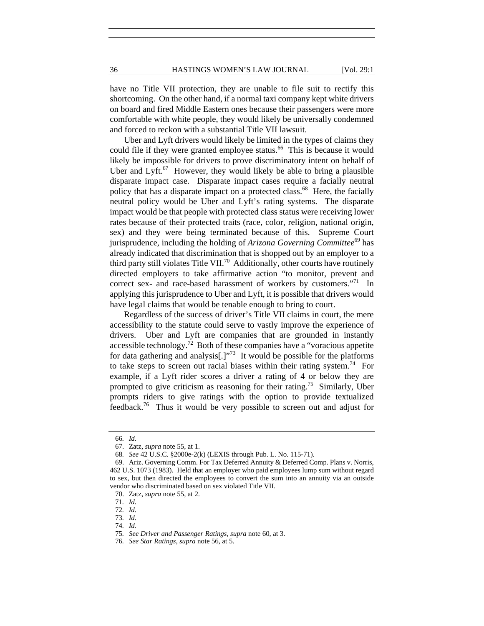have no Title VII protection, they are unable to file suit to rectify this shortcoming. On the other hand, if a normal taxi company kept white drivers on board and fired Middle Eastern ones because their passengers were more comfortable with white people, they would likely be universally condemned and forced to reckon with a substantial Title VII lawsuit.

Uber and Lyft drivers would likely be limited in the types of claims they could file if they were granted employee status.<sup>66</sup> This is because it would likely be impossible for drivers to prove discriminatory intent on behalf of Uber and  $Lyft.<sup>67</sup>$  However, they would likely be able to bring a plausible disparate impact case. Disparate impact cases require a facially neutral policy that has a disparate impact on a protected class.<sup>68</sup> Here, the facially neutral policy would be Uber and Lyft's rating systems. The disparate impact would be that people with protected class status were receiving lower rates because of their protected traits (race, color, religion, national origin, sex) and they were being terminated because of this. Supreme Court jurisprudence, including the holding of *Arizona Governing Committee*<sup>69</sup> has already indicated that discrimination that is shopped out by an employer to a third party still violates Title VII.<sup>70</sup> Additionally, other courts have routinely directed employers to take affirmative action "to monitor, prevent and correct sex- and race-based harassment of workers by customers.<sup>"71</sup> In applying this jurisprudence to Uber and Lyft, it is possible that drivers would have legal claims that would be tenable enough to bring to court.

Regardless of the success of driver's Title VII claims in court, the mere accessibility to the statute could serve to vastly improve the experience of drivers. Uber and Lyft are companies that are grounded in instantly accessible technology.<sup>72</sup> Both of these companies have a "voracious appetite" for data gathering and analysis[.] $1^{773}$  It would be possible for the platforms to take steps to screen out racial biases within their rating system.<sup>74</sup> For example, if a Lyft rider scores a driver a rating of 4 or below they are prompted to give criticism as reasoning for their rating.<sup>75</sup> Similarly, Uber prompts riders to give ratings with the option to provide textualized feedback.76 Thus it would be very possible to screen out and adjust for

<sup>66</sup>*. Id.* 

 <sup>67.</sup> Zatz, *supra* note 55, at 1.

<sup>68</sup>*. See* 42 U.S.C. §2000e-2(k) (LEXIS through Pub. L. No. 115-71).

 <sup>69.</sup> Ariz. Governing Comm. For Tax Deferred Annuity & Deferred Comp. Plans v. Norris, 462 U.S. 1073 (1983). Held that an employer who paid employees lump sum without regard to sex, but then directed the employees to convert the sum into an annuity via an outside vendor who discriminated based on sex violated Title VII.

 <sup>70.</sup> Zatz, *supra* note 55, at 2.

<sup>71</sup>*. Id.*

<sup>72</sup>*. Id.*

<sup>73</sup>*. Id.*

<sup>74</sup>*. Id.*

<sup>75</sup>*. See Driver and Passenger Ratings*, *supra* note 60, at 3.

<sup>76</sup>*. See Star Ratings, supra* note 56, at 5.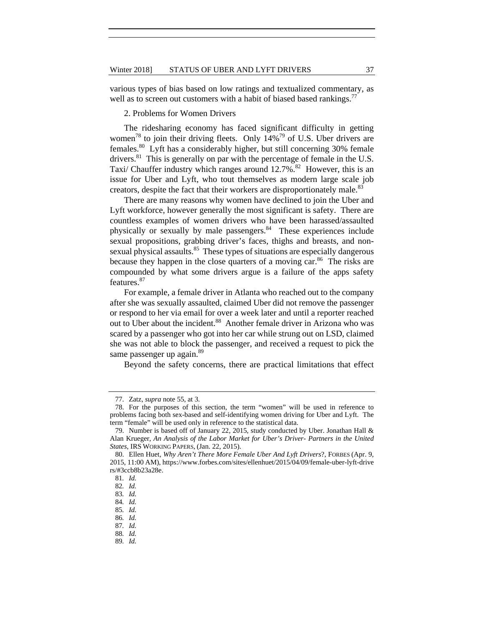various types of bias based on low ratings and textualized commentary, as well as to screen out customers with a habit of biased based rankings.<sup>77</sup>

2. Problems for Women Drivers

The ridesharing economy has faced significant difficulty in getting women<sup>78</sup> to join their driving fleets. Only  $14\%$ <sup>79</sup> of U.S. Uber drivers are females.80 Lyft has a considerably higher, but still concerning 30% female drivers.<sup>81</sup> This is generally on par with the percentage of female in the U.S. Taxi/ Chauffer industry which ranges around 12.7%.<sup>82</sup> However, this is an issue for Uber and Lyft, who tout themselves as modern large scale job creators, despite the fact that their workers are disproportionately male.<sup>83</sup>

There are many reasons why women have declined to join the Uber and Lyft workforce, however generally the most significant is safety. There are countless examples of women drivers who have been harassed/assaulted physically or sexually by male passengers.<sup>84</sup> These experiences include sexual propositions, grabbing driver's faces, thighs and breasts, and nonsexual physical assaults.<sup>85</sup> These types of situations are especially dangerous because they happen in the close quarters of a moving car.<sup>86</sup> The risks are compounded by what some drivers argue is a failure of the apps safety features.<sup>87</sup>

For example, a female driver in Atlanta who reached out to the company after she was sexually assaulted, claimed Uber did not remove the passenger or respond to her via email for over a week later and until a reporter reached out to Uber about the incident.<sup>88</sup> Another female driver in Arizona who was scared by a passenger who got into her car while strung out on LSD, claimed she was not able to block the passenger, and received a request to pick the same passenger up again.<sup>89</sup>

Beyond the safety concerns, there are practical limitations that effect

 <sup>77.</sup> Zatz, *supra* note 55, at 3.

 <sup>78.</sup> For the purposes of this section, the term "women" will be used in reference to problems facing both sex-based and self-identifying women driving for Uber and Lyft. The term "female" will be used only in reference to the statistical data.

 <sup>79.</sup> Number is based off of January 22, 2015, study conducted by Uber. Jonathan Hall & Alan Krueger, *An Analysis of the Labor Market for Uber's Driver- Partners in the United States*, IRS WORKING PAPERS, (Jan. 22, 2015).

 <sup>80.</sup> Ellen Huet, *Why Aren't There More Female Uber And Lyft Drivers*?, FORBES (Apr. 9, 2015, 11:00 AM), https://www.forbes.com/sites/ellenhuet/2015/04/09/female-uber-lyft-drive rs/#3ccb8b23a28e.

<sup>81</sup>*. Id.*

<sup>82</sup>*. Id.*

<sup>83</sup>*. Id.*

<sup>84</sup>*. Id.* 85*. Id.*

<sup>86</sup>*. Id.*

<sup>87</sup>*. Id.*

<sup>88</sup>*. Id.*

<sup>89</sup>*. Id.*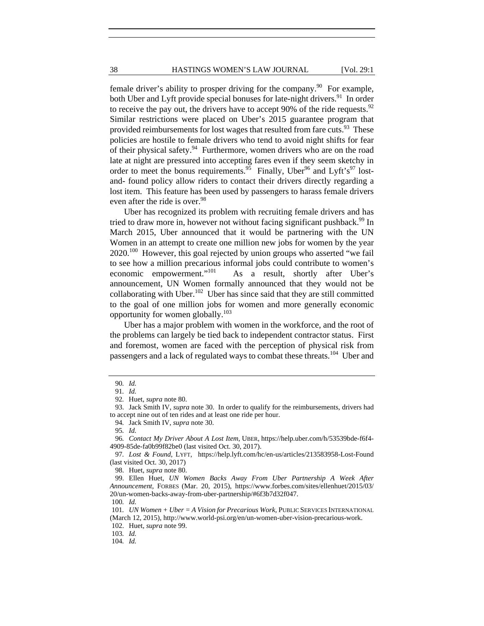female driver's ability to prosper driving for the company.<sup>90</sup> For example, both Uber and Lyft provide special bonuses for late-night drivers.<sup>91</sup> In order to receive the pay out, the drivers have to accept 90% of the ride requests.<sup>92</sup> Similar restrictions were placed on Uber's 2015 guarantee program that provided reimbursements for lost wages that resulted from fare cuts.<sup>93</sup> These policies are hostile to female drivers who tend to avoid night shifts for fear of their physical safety.<sup>94</sup> Furthermore, women drivers who are on the road late at night are pressured into accepting fares even if they seem sketchy in order to meet the bonus requirements.<sup>95</sup> Finally, Uber<sup>96</sup> and Lyft's<sup>97</sup> lostand- found policy allow riders to contact their drivers directly regarding a lost item. This feature has been used by passengers to harass female drivers even after the ride is over.<sup>98</sup>

Uber has recognized its problem with recruiting female drivers and has tried to draw more in, however not without facing significant pushback.<sup>99</sup> In March 2015, Uber announced that it would be partnering with the UN Women in an attempt to create one million new jobs for women by the year  $2020^{100}$  However, this goal rejected by union groups who asserted "we fail to see how a million precarious informal jobs could contribute to women's economic empowerment."<sup>101</sup> As a result, shortly after Uber's announcement, UN Women formally announced that they would not be collaborating with Uber. $102$  Uber has since said that they are still committed to the goal of one million jobs for women and more generally economic opportunity for women globally. $103$ 

Uber has a major problem with women in the workforce, and the root of the problems can largely be tied back to independent contractor status. First and foremost, women are faced with the perception of physical risk from passengers and a lack of regulated ways to combat these threats.<sup>104</sup> Uber and

95*. Id.* 

98. Huet, *supra* note 80.

 99. Ellen Huet, *UN Women Backs Away From Uber Partnership A Week After Announcement*, FORBES (Mar. 20, 2015), https://www.forbes.com/sites/ellenhuet/2015/03/ 20/un-women-backs-away-from-uber-partnership/#6f3b7d32f047.

100*. Id.*

103*. Id.*

104*. Id.*

<sup>90</sup>*. Id.*

<sup>91</sup>*. Id.*

<sup>92</sup>*.* Huet, *supra* note 80.

 <sup>93.</sup> Jack Smith IV, *supra* note 30. In order to qualify for the reimbursements, drivers had to accept nine out of ten rides and at least one ride per hour.

<sup>94</sup>*.* Jack Smith IV, *supra* note 30.

<sup>96</sup>*. Contact My Driver About A Lost Item*, UBER, https://help.uber.com/h/53539bde-f6f4- 4909-85de-fa0b99f82be0 (last visited Oct. 30, 2017).

<sup>97</sup>*. Lost & Found*, LYFT, https://help.lyft.com/hc/en-us/articles/213583958-Lost-Found (last visited Oct. 30, 2017)

<sup>101.</sup> *UN Women + Uber = A Vision for Precarious Work, PUBLIC SERVICES INTERNATIONAL* (March 12, 2015), http://www.world-psi.org/en/un-women-uber-vision-precarious-work.

 <sup>102.</sup> Huet, *supra* note 99.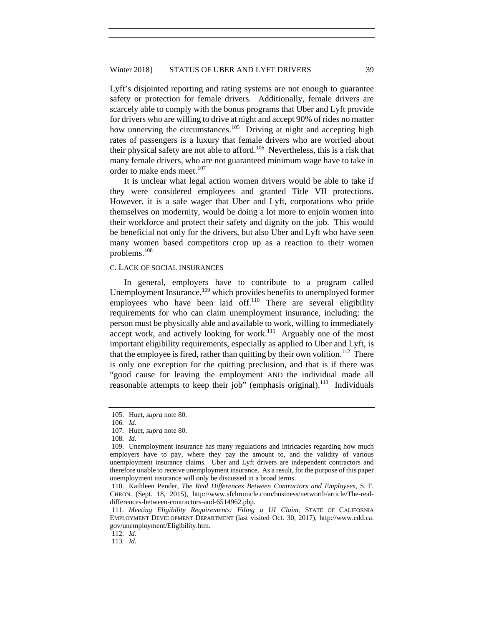Lyft's disjointed reporting and rating systems are not enough to guarantee safety or protection for female drivers. Additionally, female drivers are scarcely able to comply with the bonus programs that Uber and Lyft provide for drivers who are willing to drive at night and accept 90% of rides no matter how unnerving the circumstances.<sup>105</sup> Driving at night and accepting high rates of passengers is a luxury that female drivers who are worried about their physical safety are not able to afford.<sup>106</sup> Nevertheless, this is a risk that many female drivers, who are not guaranteed minimum wage have to take in order to make ends meet.<sup>107</sup>

It is unclear what legal action women drivers would be able to take if they were considered employees and granted Title VII protections. However, it is a safe wager that Uber and Lyft, corporations who pride themselves on modernity, would be doing a lot more to enjoin women into their workforce and protect their safety and dignity on the job. This would be beneficial not only for the drivers, but also Uber and Lyft who have seen many women based competitors crop up as a reaction to their women problems.<sup>108</sup>

#### C. LACK OF SOCIAL INSURANCES

In general, employers have to contribute to a program called Unemployment Insurance,<sup>109</sup> which provides benefits to unemployed former employees who have been laid off. $110$  There are several eligibility requirements for who can claim unemployment insurance, including: the person must be physically able and available to work, willing to immediately accept work, and actively looking for work.<sup>111</sup> Arguably one of the most important eligibility requirements, especially as applied to Uber and Lyft, is that the employee is fired, rather than quitting by their own volition.<sup>112</sup> There is only one exception for the quitting preclusion, and that is if there was "good cause for leaving the employment AND the individual made all reasonable attempts to keep their job" (emphasis original).<sup>113</sup> Individuals

 <sup>105.</sup> Huet, *supra* note 80.

<sup>106</sup>*. Id.*

<sup>107</sup>*.* Huet, *supra* note 80.

<sup>108</sup>*. Id.*

 <sup>109.</sup> Unemployment insurance has many regulations and intricacies regarding how much employers have to pay, where they pay the amount to, and the validity of various unemployment insurance claims. Uber and Lyft drivers are independent contractors and therefore unable to receive unemployment insurance. As a result, for the purpose of this paper unemployment insurance will only be discussed in a broad terms.

 <sup>110.</sup> Kathleen Pender, *The Real Differences Between Contractors and Employees*, S. F. CHRON. (Sept. 18, 2015), http://www.sfchronicle.com/business/networth/article/The-realdifferences-between-contractors-and-6514962.php.

<sup>111</sup>*. Meeting Eligibility Requirements: Filing a UI Claim*, STATE OF CALIFORNIA EMPLOYMENT DEVELOPMENT DEPARTMENT (last visited Oct. 30, 2017), http://www.edd.ca. gov/unemployment/Eligibility.htm.

<sup>112</sup>*. Id.*

<sup>113</sup>*. Id.*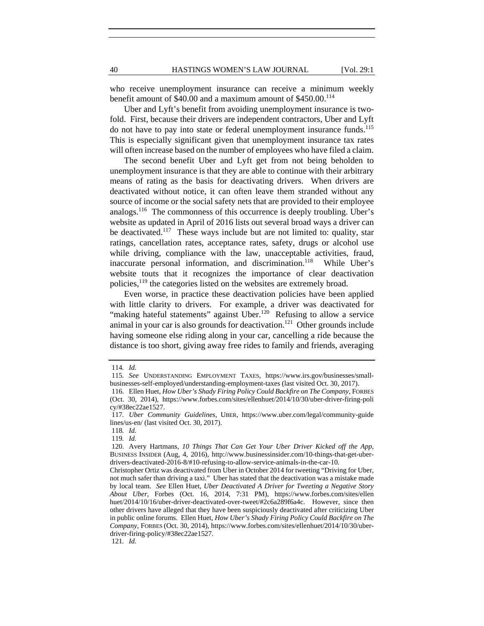40 **HASTINGS WOMEN'S LAW JOURNAL** [Vol. 29:1

who receive unemployment insurance can receive a minimum weekly benefit amount of \$40.00 and a maximum amount of \$450.00.<sup>114</sup>

Uber and Lyft's benefit from avoiding unemployment insurance is twofold. First, because their drivers are independent contractors, Uber and Lyft do not have to pay into state or federal unemployment insurance funds.<sup>115</sup> This is especially significant given that unemployment insurance tax rates will often increase based on the number of employees who have filed a claim.

The second benefit Uber and Lyft get from not being beholden to unemployment insurance is that they are able to continue with their arbitrary means of rating as the basis for deactivating drivers. When drivers are deactivated without notice, it can often leave them stranded without any source of income or the social safety nets that are provided to their employee analogs.116 The commonness of this occurrence is deeply troubling. Uber's website as updated in April of 2016 lists out several broad ways a driver can be deactivated.<sup>117</sup> These ways include but are not limited to: quality, star ratings, cancellation rates, acceptance rates, safety, drugs or alcohol use while driving, compliance with the law, unacceptable activities, fraud, inaccurate personal information, and discrimination.<sup>118</sup> While Uber's website touts that it recognizes the importance of clear deactivation policies,<sup>119</sup> the categories listed on the websites are extremely broad.

Even worse, in practice these deactivation policies have been applied with little clarity to drivers. For example, a driver was deactivated for "making hateful statements" against Uber.<sup>120</sup> Refusing to allow a service animal in your car is also grounds for deactivation.<sup>121</sup> Other grounds include having someone else riding along in your car, cancelling a ride because the distance is too short, giving away free rides to family and friends, averaging

121*. Id.*

<sup>114</sup>*. Id.*

<sup>115</sup>*. See* UNDERSTANDING EMPLOYMENT TAXES, https://www.irs.gov/businesses/smallbusinesses-self-employed/understanding-employment-taxes (last visited Oct. 30, 2017).

 <sup>116.</sup> Ellen Huet, *How Uber's Shady Firing Policy Could Backfire on The Company*, FORBES (Oct. 30, 2014), https://www.forbes.com/sites/ellenhuet/2014/10/30/uber-driver-firing-poli cy/#38ec22ae1527.

<sup>117</sup>*. Uber Community Guidelines*, UBER, https://www.uber.com/legal/community-guide lines/us-en/ (last visited Oct. 30, 2017).

<sup>118</sup>*. Id.*

<sup>119</sup>*. Id.*

 <sup>120.</sup> Avery Hartmans, *10 Things That Can Get Your Uber Driver Kicked off the App*, BUSINESS INSIDER (Aug, 4, 2016), http://www.businessinsider.com/10-things-that-get-uberdrivers-deactivated-2016-8/#10-refusing-to-allow-service-animals-in-the-car-10.

Christopher Ortiz was deactivated from Uber in October 2014 for tweeting "Driving for Uber, not much safer than driving a taxi." Uber has stated that the deactivation was a mistake made by local team. *See* Ellen Huet, *Uber Deactivated A Driver for Tweeting a Negative Story About Uber*, Forbes (Oct. 16, 2014, 7:31 PM), https://www.forbes.com/sites/ellen huet/2014/10/16/uber-driver-deactivated-over-tweet/#2c6a289f6a4c. However, since then other drivers have alleged that they have been suspiciously deactivated after criticizing Uber in public online forums. Ellen Huet, *How Uber's Shady Firing Policy Could Backfire on The Company*, FORBES (Oct. 30, 2014), https://www.forbes.com/sites/ellenhuet/2014/10/30/uberdriver-firing-policy/#38ec22ae1527.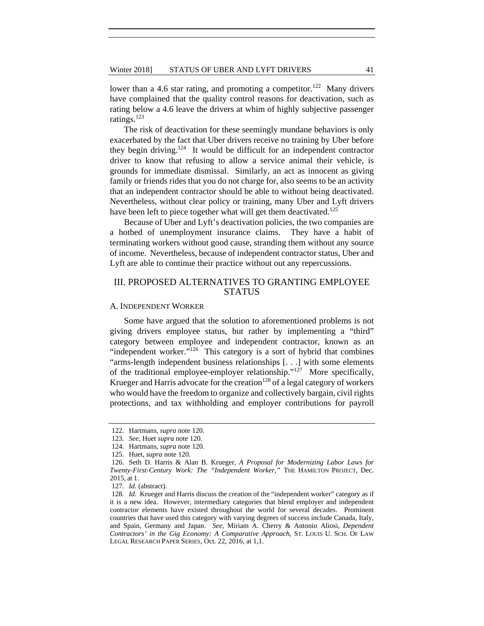lower than a 4.6 star rating, and promoting a competitor.<sup>122</sup> Many drivers have complained that the quality control reasons for deactivation, such as rating below a 4.6 leave the drivers at whim of highly subjective passenger ratings. $123$ 

The risk of deactivation for these seemingly mundane behaviors is only exacerbated by the fact that Uber drivers receive no training by Uber before they begin driving.<sup>124</sup> It would be difficult for an independent contractor driver to know that refusing to allow a service animal their vehicle, is grounds for immediate dismissal. Similarly, an act as innocent as giving family or friends rides that you do not charge for, also seems to be an activity that an independent contractor should be able to without being deactivated. Nevertheless, without clear policy or training, many Uber and Lyft drivers have been left to piece together what will get them deactivated.<sup>125</sup>

Because of Uber and Lyft's deactivation policies, the two companies are a hotbed of unemployment insurance claims. They have a habit of terminating workers without good cause, stranding them without any source of income. Nevertheless, because of independent contractor status, Uber and Lyft are able to continue their practice without out any repercussions.

## III. PROPOSED ALTERNATIVES TO GRANTING EMPLOYEE STATUS

#### A. INDEPENDENT WORKER

Some have argued that the solution to aforementioned problems is not giving drivers employee status, but rather by implementing a "third" category between employee and independent contractor, known as an "independent worker." $126$  This category is a sort of hybrid that combines "arms-length independent business relationships [. . .] with some elements of the traditional employee-employer relationship."127 More specifically, Krueger and Harris advocate for the creation<sup>128</sup> of a legal category of workers who would have the freedom to organize and collectively bargain, civil rights protections, and tax withholding and employer contributions for payroll

 <sup>122.</sup> Hartmans, *supra* note 120.

<sup>123</sup>*. See,* Huet *supra* note 120.

 <sup>124.</sup> Hartmans, *supra* note 120*.*

 <sup>125.</sup> Huet, *supra* note 120.

 <sup>126.</sup> Seth D. Harris & Alan B. Krueger, *A Proposal for Modernizing Labor Laws for Twenty-First-Century Work: The "Independent Worker,"* THE HAMILTON PROJECT, Dec. 2015, at 1.

<sup>127</sup>*. Id.* (abstract).

<sup>128</sup>*. Id.* Krueger and Harris discuss the creation of the "independent worker" category as if it is a new idea. However, intermediary categories that blend employer and independent contractor elements have existed throughout the world for several decades. Prominent countries that have used this category with varying degrees of success include Canada, Italy, and Spain, Germany and Japan. *See,* Miriam A. Cherry & Antonio Aliosi, *Dependent Contractors' in the Gig Economy: A Comparative Approach*, ST. LOUIS U. SCH. OF LAW LEGAL RESEARCH PAPER SERIES, Oct. 22, 2016, at 1,1.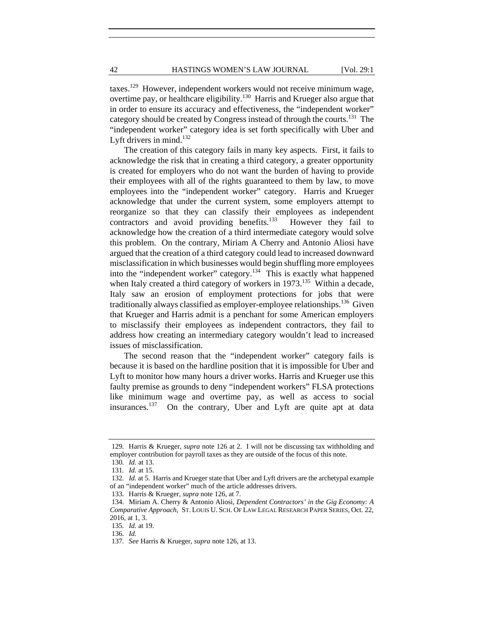taxes.<sup>129</sup> However, independent workers would not receive minimum wage, overtime pay, or healthcare eligibility.<sup>130</sup> Harris and Krueger also argue that in order to ensure its accuracy and effectiveness, the "independent worker" category should be created by Congress instead of through the courts.<sup>131</sup> The "independent worker" category idea is set forth specifically with Uber and Lyft drivers in mind. $132$ 

The creation of this category fails in many key aspects. First, it fails to acknowledge the risk that in creating a third category, a greater opportunity is created for employers who do not want the burden of having to provide their employees with all of the rights guaranteed to them by law, to move employees into the "independent worker" category. Harris and Krueger acknowledge that under the current system, some employers attempt to reorganize so that they can classify their employees as independent contractors and avoid providing benefits.<sup>133</sup> However they fail to acknowledge how the creation of a third intermediate category would solve this problem. On the contrary, Miriam A Cherry and Antonio Aliosi have argued that the creation of a third category could lead to increased downward misclassification in which businesses would begin shuffling more employees into the "independent worker" category.<sup>134</sup> This is exactly what happened when Italy created a third category of workers in 1973.<sup>135</sup> Within a decade, Italy saw an erosion of employment protections for jobs that were traditionally always classified as employer-employee relationships.<sup>136</sup> Given that Krueger and Harris admit is a penchant for some American employers to misclassify their employees as independent contractors, they fail to address how creating an intermediary category wouldn't lead to increased issues of misclassification.

The second reason that the "independent worker" category fails is because it is based on the hardline position that it is impossible for Uber and Lyft to monitor how many hours a driver works. Harris and Krueger use this faulty premise as grounds to deny "independent workers" FLSA protections like minimum wage and overtime pay, as well as access to social insurances.<sup>137</sup> On the contrary, Uber and Lyft are quite apt at data

133*.* Harris & Krueger, *supra* note 126, at 7.

<sup>129</sup>*.* Harris & Krueger, *supra* note 126 at 2. I will not be discussing tax withholding and employer contribution for payroll taxes as they are outside of the focus of this note.

<sup>130</sup>*. Id.* at 13.

<sup>131</sup>*. Id.* at 15.

<sup>132</sup>*. Id.* at 5. Harris and Krueger state that Uber and Lyft drivers are the archetypal example of an "independent worker" much of the article addresses drivers.

 <sup>134.</sup> Miriam A. Cherry & Antonio Aliosi, *Dependent Contractors' in the Gig Economy: A Comparative Approach*, ST. LOUIS U. SCH. OF LAW LEGAL RESEARCH PAPER SERIES, Oct. 22, 2016, at 1, 3.

<sup>135</sup>*. Id.* at 19.

<sup>136</sup>*. Id.* 

<sup>137</sup>*. See* Harris & Krueger, *supra* note 126, at 13.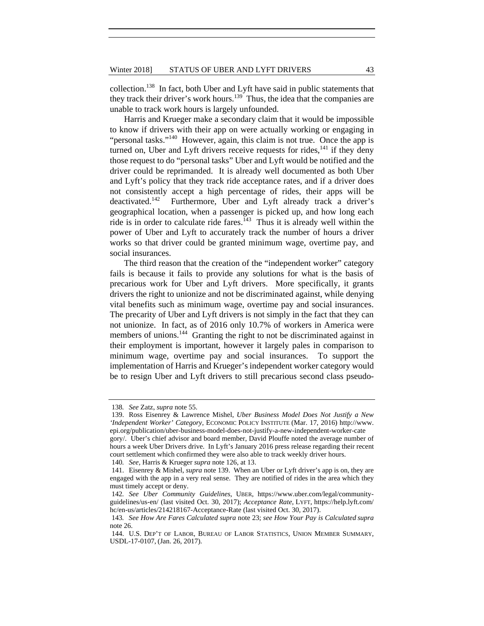collection.138 In fact, both Uber and Lyft have said in public statements that they track their driver's work hours.<sup>139</sup> Thus, the idea that the companies are unable to track work hours is largely unfounded.

Harris and Krueger make a secondary claim that it would be impossible to know if drivers with their app on were actually working or engaging in "personal tasks."<sup>140</sup> However, again, this claim is not true. Once the app is turned on, Uber and Lyft drivers receive requests for rides, $141$  if they deny those request to do "personal tasks" Uber and Lyft would be notified and the driver could be reprimanded. It is already well documented as both Uber and Lyft's policy that they track ride acceptance rates, and if a driver does not consistently accept a high percentage of rides, their apps will be deactivated.<sup>142</sup> Furthermore, Uber and Lyft already track a driver's geographical location, when a passenger is picked up, and how long each ride is in order to calculate ride fares.<sup>143</sup> Thus it is already well within the power of Uber and Lyft to accurately track the number of hours a driver works so that driver could be granted minimum wage, overtime pay, and social insurances.

The third reason that the creation of the "independent worker" category fails is because it fails to provide any solutions for what is the basis of precarious work for Uber and Lyft drivers. More specifically, it grants drivers the right to unionize and not be discriminated against, while denying vital benefits such as minimum wage, overtime pay and social insurances. The precarity of Uber and Lyft drivers is not simply in the fact that they can not unionize. In fact, as of 2016 only 10.7% of workers in America were members of unions.<sup>144</sup> Granting the right to not be discriminated against in their employment is important, however it largely pales in comparison to minimum wage, overtime pay and social insurances. To support the implementation of Harris and Krueger's independent worker category would be to resign Uber and Lyft drivers to still precarious second class pseudo-

<sup>138</sup>*. See* Zatz, *supra* note 55.

 <sup>139.</sup> Ross Eisenrey & Lawrence Mishel, *Uber Business Model Does Not Justify a New 'Independent Worker' Category,* ECONOMIC POLICY INSTITUTE (Mar. 17, 2016) http://www. epi.org/publication/uber-business-model-does-not-justify-a-new-independent-worker-cate gory/. Uber's chief advisor and board member, David Plouffe noted the average number of hours a week Uber Drivers drive. In Lyft's January 2016 press release regarding their recent

court settlement which confirmed they were also able to track weekly driver hours.

<sup>140</sup>*. See,* Harris & Krueger *supra* note 126, at 13.

 <sup>141.</sup> Eisenrey & Mishel, *supra* note 139. When an Uber or Lyft driver's app is on, they are engaged with the app in a very real sense. They are notified of rides in the area which they must timely accept or deny.

<sup>142</sup>*. See Uber Community Guidelines*, UBER, https://www.uber.com/legal/communityguidelines/us-en/ (last visited Oct. 30, 2017); *Acceptance Rate*, LYFT, https://help.lyft.com/ hc/en-us/articles/214218167-Acceptance-Rate (last visited Oct. 30, 2017).

<sup>143</sup>*. See How Are Fares Calculated supra* note 23; *see How Your Pay is Calculated supra*  note 26.

 <sup>144.</sup> U.S. DEP'T OF LABOR, BUREAU OF LABOR STATISTICS, UNION MEMBER SUMMARY, USDL-17-0107, (Jan. 26, 2017).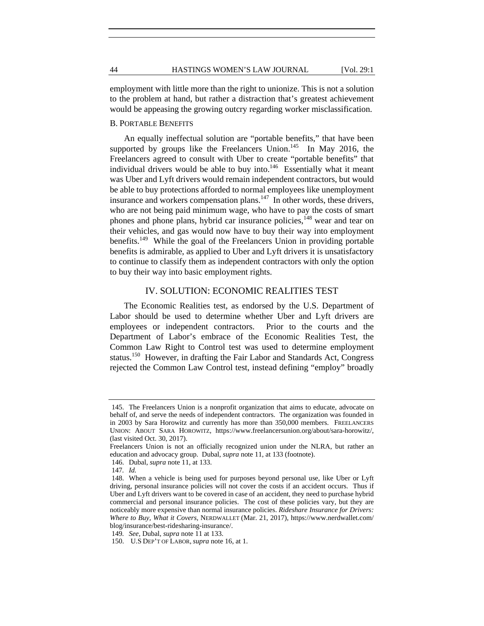employment with little more than the right to unionize. This is not a solution to the problem at hand, but rather a distraction that's greatest achievement would be appeasing the growing outcry regarding worker misclassification.

#### B. PORTABLE BENEFITS

An equally ineffectual solution are "portable benefits," that have been supported by groups like the Freelancers Union.<sup>145</sup> In May 2016, the Freelancers agreed to consult with Uber to create "portable benefits" that individual drivers would be able to buy into. $146$  Essentially what it meant was Uber and Lyft drivers would remain independent contractors, but would be able to buy protections afforded to normal employees like unemployment insurance and workers compensation plans.<sup>147</sup> In other words, these drivers, who are not being paid minimum wage, who have to pay the costs of smart phones and phone plans, hybrid car insurance policies,<sup>148</sup> wear and tear on their vehicles, and gas would now have to buy their way into employment benefits.<sup>149</sup> While the goal of the Freelancers Union in providing portable benefits is admirable, as applied to Uber and Lyft drivers it is unsatisfactory to continue to classify them as independent contractors with only the option to buy their way into basic employment rights.

#### IV. SOLUTION: ECONOMIC REALITIES TEST

The Economic Realities test, as endorsed by the U.S. Department of Labor should be used to determine whether Uber and Lyft drivers are employees or independent contractors. Prior to the courts and the Department of Labor's embrace of the Economic Realities Test, the Common Law Right to Control test was used to determine employment status.150 However, in drafting the Fair Labor and Standards Act, Congress rejected the Common Law Control test, instead defining "employ" broadly

 <sup>145.</sup> The Freelancers Union is a nonprofit organization that aims to educate, advocate on behalf of, and serve the needs of independent contractors. The organization was founded in in 2003 by Sara Horowitz and currently has more than 350,000 members. FREELANCERS UNION: ABOUT SARA HOROWITZ, https://www.freelancersunion.org/about/sara-horowitz/, (last visited Oct. 30, 2017).

Freelancers Union is not an officially recognized union under the NLRA, but rather an education and advocacy group. Dubal, *supra* note 11, at 133 (footnote).

 <sup>146.</sup> Dubal, *supra* note 11, at 133.

<sup>147</sup>*. Id.* 

 <sup>148.</sup> When a vehicle is being used for purposes beyond personal use, like Uber or Lyft driving, personal insurance policies will not cover the costs if an accident occurs. Thus if Uber and Lyft drivers want to be covered in case of an accident, they need to purchase hybrid commercial and personal insurance policies. The cost of these policies vary, but they are noticeably more expensive than normal insurance policies. *Rideshare Insurance for Drivers: Where to Buy, What it Covers,* NERDWALLET (Mar. 21, 2017), https://www.nerdwallet.com/ blog/insurance/best-ridesharing-insurance/.

<sup>149</sup>*. See,* Dubal, *supra* note 11 at 133.

 <sup>150.</sup> U.S DEP'T OF LABOR, *supra* note 16, at 1.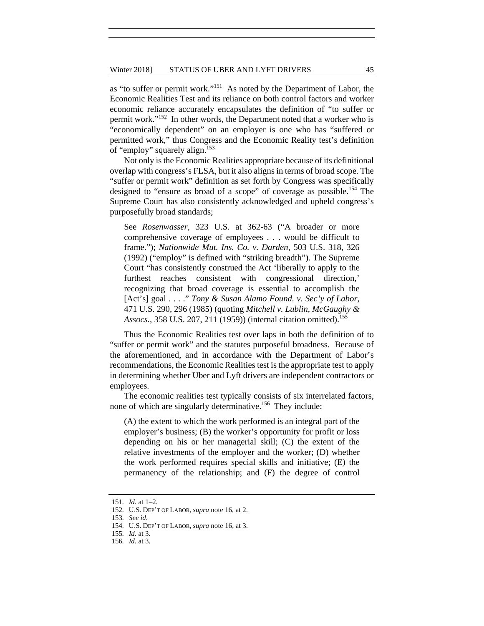as "to suffer or permit work."151 As noted by the Department of Labor, the Economic Realities Test and its reliance on both control factors and worker economic reliance accurately encapsulates the definition of "to suffer or permit work."152 In other words, the Department noted that a worker who is "economically dependent" on an employer is one who has "suffered or permitted work," thus Congress and the Economic Reality test's definition of "employ" squarely align.<sup>153</sup>

Not only is the Economic Realities appropriate because of its definitional overlap with congress's FLSA, but it also aligns in terms of broad scope. The "suffer or permit work" definition as set forth by Congress was specifically designed to "ensure as broad of a scope" of coverage as possible.<sup>154</sup> The Supreme Court has also consistently acknowledged and upheld congress's purposefully broad standards;

See *Rosenwasser,* 323 U.S. at 362-63 ("A broader or more comprehensive coverage of employees . . . would be difficult to frame."); *Nationwide Mut. Ins. Co. v. Darden,* 503 U.S. 318, 326 (1992) ("employ" is defined with "striking breadth"). The Supreme Court "has consistently construed the Act 'liberally to apply to the furthest reaches consistent with congressional direction,' recognizing that broad coverage is essential to accomplish the [Act's] goal . . . ." *Tony & Susan Alamo Found. v. Sec'y of Labor*, 471 U.S. 290, 296 (1985) (quoting *Mitchell v. Lublin, McGaughy & Assocs.*, 358 U.S. 207, 211 (1959)) (internal citation omitted).<sup>155</sup>

Thus the Economic Realities test over laps in both the definition of to "suffer or permit work" and the statutes purposeful broadness. Because of the aforementioned, and in accordance with the Department of Labor's recommendations, the Economic Realities test is the appropriate test to apply in determining whether Uber and Lyft drivers are independent contractors or employees.

The economic realities test typically consists of six interrelated factors, none of which are singularly determinative.<sup>156</sup> They include:

(A) the extent to which the work performed is an integral part of the employer's business; (B) the worker's opportunity for profit or loss depending on his or her managerial skill; (C) the extent of the relative investments of the employer and the worker; (D) whether the work performed requires special skills and initiative; (E) the permanency of the relationship; and (F) the degree of control

<sup>151</sup>*. Id.* at 1–2.

<sup>152</sup>*.* U.S. DEP'T OF LABOR, *supra* note 16, at 2.

<sup>153</sup>*. See id.*

<sup>154</sup>*.* U.S. DEP'T OF LABOR, *supra* note 16, at 3.

<sup>155</sup>*. Id.* at 3.

<sup>156</sup>*. Id.* at 3.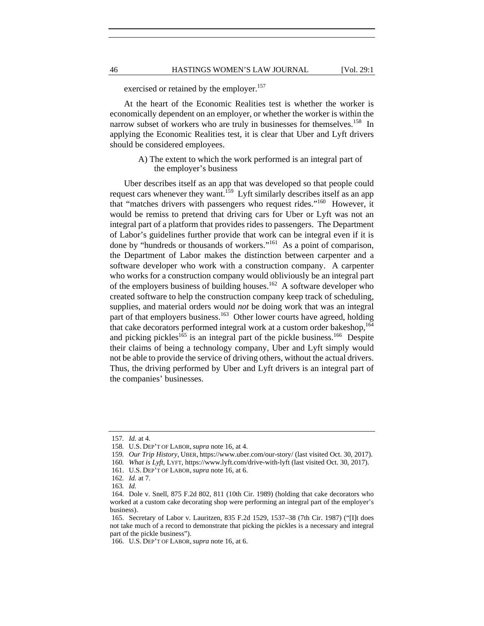exercised or retained by the employer.<sup>157</sup>

At the heart of the Economic Realities test is whether the worker is economically dependent on an employer, or whether the worker is within the narrow subset of workers who are truly in businesses for themselves.<sup>158</sup> In applying the Economic Realities test, it is clear that Uber and Lyft drivers should be considered employees.

> A) The extent to which the work performed is an integral part of the employer's business

Uber describes itself as an app that was developed so that people could request cars whenever they want.<sup>159</sup> Lyft similarly describes itself as an app that "matches drivers with passengers who request rides."160 However, it would be remiss to pretend that driving cars for Uber or Lyft was not an integral part of a platform that provides rides to passengers. The Department of Labor's guidelines further provide that work can be integral even if it is done by "hundreds or thousands of workers."161 As a point of comparison, the Department of Labor makes the distinction between carpenter and a software developer who work with a construction company. A carpenter who works for a construction company would obliviously be an integral part of the employers business of building houses.<sup>162</sup> A software developer who created software to help the construction company keep track of scheduling, supplies, and material orders would *not* be doing work that was an integral part of that employers business.<sup>163</sup> Other lower courts have agreed, holding that cake decorators performed integral work at a custom order bakeshop,<sup>164</sup> and picking pickles<sup>165</sup> is an integral part of the pickle business.<sup>166</sup> Despite their claims of being a technology company, Uber and Lyft simply would not be able to provide the service of driving others, without the actual drivers. Thus, the driving performed by Uber and Lyft drivers is an integral part of the companies' businesses.

<sup>157</sup>*. Id.* at 4.

<sup>158</sup>*.* U.S. DEP'T OF LABOR, *supra* note 16, at 4.

<sup>159</sup>*. Our Trip History*, UBER, https://www.uber.com/our-story/ (last visited Oct. 30, 2017).

<sup>160</sup>*. What is Lyft*, LYFT, https://www.lyft.com/drive-with-lyft (last visited Oct. 30, 2017).

 <sup>161.</sup> U.S. DEP'T OF LABOR, *supra* note 16, at 6.

<sup>162</sup>*. Id.* at 7.

<sup>163</sup>*. Id.*

 <sup>164.</sup> Dole v. Snell*,* 875 F.2d 802, 811 (10th Cir. 1989) (holding that cake decorators who worked at a custom cake decorating shop were performing an integral part of the employer's business).

 <sup>165.</sup> Secretary of Labor v. Lauritzen*,* 835 F.2d 1529, 1537–38 (7th Cir. 1987) ("[I]t does not take much of a record to demonstrate that picking the pickles is a necessary and integral part of the pickle business").

 <sup>166.</sup> U.S. DEP'T OF LABOR, *supra* note 16, at 6.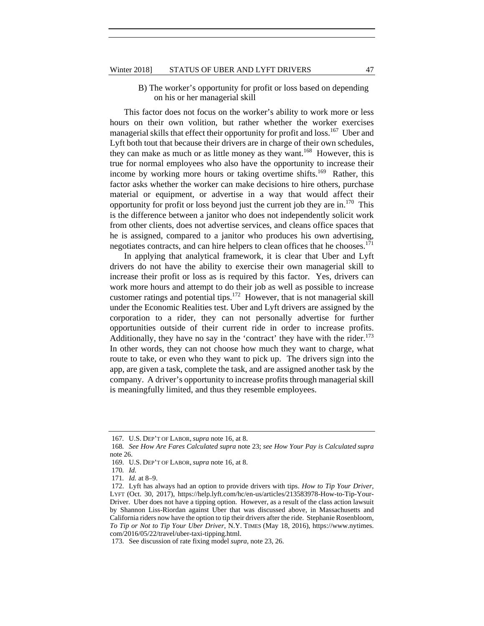#### B) The worker's opportunity for profit or loss based on depending on his or her managerial skill

This factor does not focus on the worker's ability to work more or less hours on their own volition, but rather whether the worker exercises managerial skills that effect their opportunity for profit and loss.<sup>167</sup> Uber and Lyft both tout that because their drivers are in charge of their own schedules, they can make as much or as little money as they want.<sup>168</sup> However, this is true for normal employees who also have the opportunity to increase their income by working more hours or taking overtime shifts.<sup>169</sup> Rather, this factor asks whether the worker can make decisions to hire others, purchase material or equipment, or advertise in a way that would affect their opportunity for profit or loss beyond just the current job they are in.170 This is the difference between a janitor who does not independently solicit work from other clients, does not advertise services, and cleans office spaces that he is assigned, compared to a janitor who produces his own advertising, negotiates contracts, and can hire helpers to clean offices that he chooses.<sup>171</sup>

In applying that analytical framework, it is clear that Uber and Lyft drivers do not have the ability to exercise their own managerial skill to increase their profit or loss as is required by this factor. Yes, drivers can work more hours and attempt to do their job as well as possible to increase customer ratings and potential tips.<sup>172</sup> However, that is not managerial skill under the Economic Realities test. Uber and Lyft drivers are assigned by the corporation to a rider, they can not personally advertise for further opportunities outside of their current ride in order to increase profits. Additionally, they have no say in the 'contract' they have with the rider.<sup>173</sup> In other words, they can not choose how much they want to charge, what route to take, or even who they want to pick up. The drivers sign into the app, are given a task, complete the task, and are assigned another task by the company. A driver's opportunity to increase profits through managerial skill is meaningfully limited, and thus they resemble employees.

<sup>167</sup>*.* U.S. DEP'T OF LABOR, *supra* note 16, at 8.

<sup>168</sup>*. See How Are Fares Calculated supra* note 23; *see How Your Pay is Calculated supra*  note 26.

 <sup>169.</sup> U.S. DEP'T OF LABOR, *supra* note 16, at 8.

<sup>170</sup>*. Id.*

<sup>171</sup>*. Id.* at 8–9.

 <sup>172.</sup> Lyft has always had an option to provide drivers with tips. *How to Tip Your Driver*, LYFT (Oct. 30, 2017), https://help.lyft.com/hc/en-us/articles/213583978-How-to-Tip-Your-Driver. Uber does not have a tipping option. However, as a result of the class action lawsuit by Shannon Liss-Riordan against Uber that was discussed above, in Massachusetts and California riders now have the option to tip their drivers after the ride. Stephanie Rosenbloom, *To Tip or Not to Tip Your Uber Driver*, N.Y. TIMES (May 18, 2016), https://www.nytimes. com/2016/05/22/travel/uber-taxi-tipping.html.

 <sup>173.</sup> See discussion of rate fixing model *supra,* note 23, 26.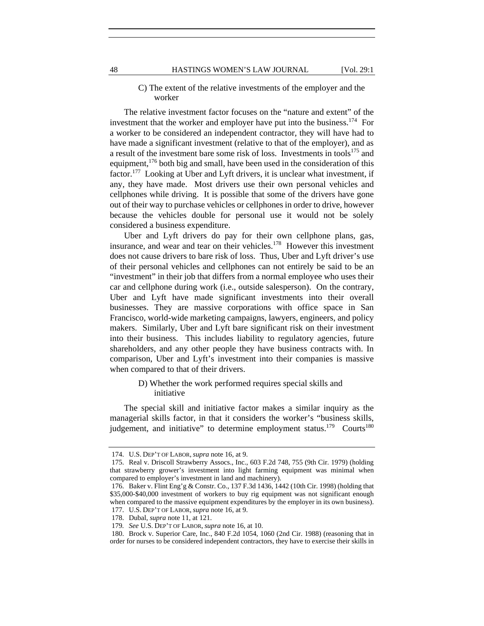#### C) The extent of the relative investments of the employer and the worker

The relative investment factor focuses on the "nature and extent" of the investment that the worker and employer have put into the business.<sup>174</sup> For a worker to be considered an independent contractor, they will have had to have made a significant investment (relative to that of the employer), and as a result of the investment bare some risk of loss. Investments in tools<sup>175</sup> and equipment,<sup>176</sup> both big and small, have been used in the consideration of this factor.<sup>177</sup> Looking at Uber and Lyft drivers, it is unclear what investment, if any, they have made. Most drivers use their own personal vehicles and cellphones while driving. It is possible that some of the drivers have gone out of their way to purchase vehicles or cellphones in order to drive, however because the vehicles double for personal use it would not be solely considered a business expenditure.

Uber and Lyft drivers do pay for their own cellphone plans, gas, insurance, and wear and tear on their vehicles.<sup>178</sup> However this investment does not cause drivers to bare risk of loss. Thus, Uber and Lyft driver's use of their personal vehicles and cellphones can not entirely be said to be an "investment" in their job that differs from a normal employee who uses their car and cellphone during work (i.e., outside salesperson). On the contrary, Uber and Lyft have made significant investments into their overall businesses. They are massive corporations with office space in San Francisco, world-wide marketing campaigns, lawyers, engineers, and policy makers. Similarly, Uber and Lyft bare significant risk on their investment into their business. This includes liability to regulatory agencies, future shareholders, and any other people they have business contracts with. In comparison, Uber and Lyft's investment into their companies is massive when compared to that of their drivers.

#### D) Whether the work performed requires special skills and initiative

The special skill and initiative factor makes a similar inquiry as the managerial skills factor, in that it considers the worker's "business skills, judgement, and initiative" to determine employment status.<sup>179</sup> Courts<sup>180</sup>

 <sup>174.</sup> U.S. DEP'T OF LABOR, *supra* note 16, at 9.

 <sup>175.</sup> Real v. Driscoll Strawberry Assocs., Inc., 603 F.2d 748, 755 (9th Cir. 1979) (holding that strawberry grower's investment into light farming equipment was minimal when compared to employer's investment in land and machinery).

 <sup>176.</sup> Baker v. Flint Eng'g & Constr. Co., 137 F.3d 1436, 1442 (10th Cir. 1998) (holding that \$35,000-\$40,000 investment of workers to buy rig equipment was not significant enough when compared to the massive equipment expenditures by the employer in its own business). 177. U.S. DEP'T OF LABOR, *supra* note 16, at 9.

 <sup>178.</sup> Dubal, *supra* note 11, at 121.

<sup>179</sup>*. See* U.S. DEP'T OF LABOR, *supra* note 16, at 10.

 <sup>180.</sup> Brock v. Superior Care, Inc., 840 F.2d 1054, 1060 (2nd Cir. 1988) (reasoning that in order for nurses to be considered independent contractors, they have to exercise their skills in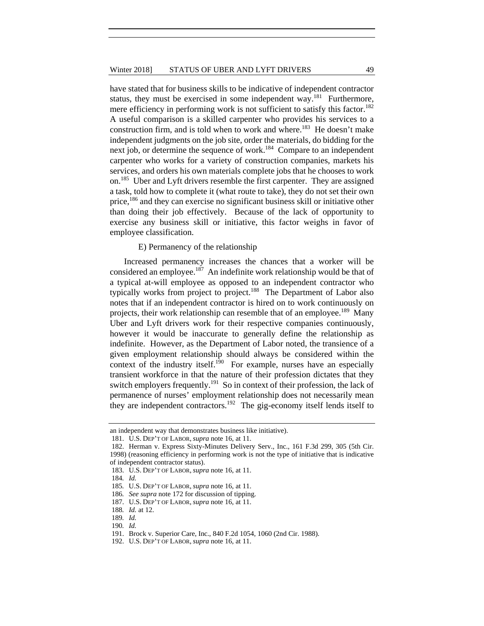have stated that for business skills to be indicative of independent contractor status, they must be exercised in some independent way.<sup>181</sup> Furthermore, mere efficiency in performing work is not sufficient to satisfy this factor.<sup>182</sup> A useful comparison is a skilled carpenter who provides his services to a construction firm, and is told when to work and where.<sup>183</sup> He doesn't make independent judgments on the job site, order the materials, do bidding for the next job, or determine the sequence of work.<sup>184</sup> Compare to an independent carpenter who works for a variety of construction companies, markets his services, and orders his own materials complete jobs that he chooses to work on.<sup>185</sup> Uber and Lyft drivers resemble the first carpenter. They are assigned a task, told how to complete it (what route to take), they do not set their own price,186 and they can exercise no significant business skill or initiative other than doing their job effectively. Because of the lack of opportunity to exercise any business skill or initiative, this factor weighs in favor of employee classification.

#### E) Permanency of the relationship

Increased permanency increases the chances that a worker will be considered an employee.<sup>187</sup> An indefinite work relationship would be that of a typical at-will employee as opposed to an independent contractor who typically works from project to project.<sup>188</sup> The Department of Labor also notes that if an independent contractor is hired on to work continuously on projects, their work relationship can resemble that of an employee.<sup>189</sup> Many Uber and Lyft drivers work for their respective companies continuously, however it would be inaccurate to generally define the relationship as indefinite. However, as the Department of Labor noted, the transience of a given employment relationship should always be considered within the context of the industry itself.<sup>190</sup> For example, nurses have an especially transient workforce in that the nature of their profession dictates that they switch employers frequently.<sup>191</sup> So in context of their profession, the lack of permanence of nurses' employment relationship does not necessarily mean they are independent contractors.<sup>192</sup> The gig-economy itself lends itself to

an independent way that demonstrates business like initiative).

 <sup>181.</sup> U.S. DEP'T OF LABOR, *supra* note 16, at 11.

 <sup>182.</sup> Herman v. Express Sixty-Minutes Delivery Serv., Inc., 161 F.3d 299, 305 (5th Cir. 1998) (reasoning efficiency in performing work is not the type of initiative that is indicative of independent contractor status).

 <sup>183.</sup> U.S. DEP'T OF LABOR, *supra* note 16, at 11.

<sup>184</sup>*. Id.*

<sup>185</sup>*.* U.S. DEP'T OF LABOR, *supra* note 16, at 11.

<sup>186</sup>*. See supra* note 172 for discussion of tipping.

 <sup>187.</sup> U.S. DEP'T OF LABOR, *supra* note 16, at 11.

<sup>188</sup>*. Id.* at 12.

<sup>189</sup>*. Id.*

<sup>190</sup>*. Id.*

 <sup>191.</sup> Brock v. Superior Care, Inc., 840 F.2d 1054, 1060 (2nd Cir. 1988).

 <sup>192.</sup> U.S. DEP'T OF LABOR, *supra* note 16, at 11.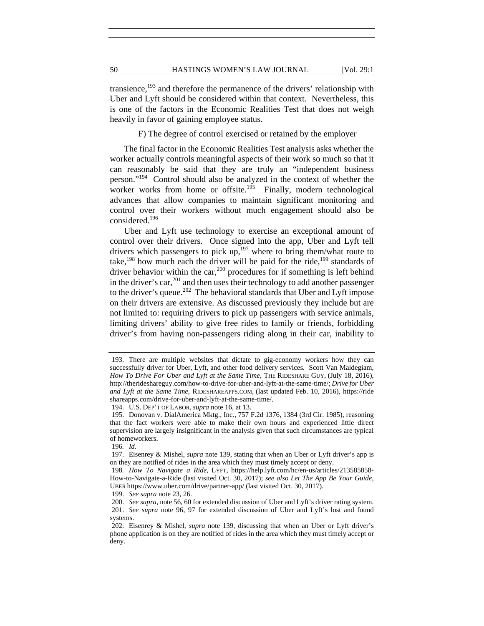transience, $193$  and therefore the permanence of the drivers' relationship with Uber and Lyft should be considered within that context. Nevertheless, this is one of the factors in the Economic Realities Test that does not weigh heavily in favor of gaining employee status.

F) The degree of control exercised or retained by the employer

The final factor in the Economic Realities Test analysis asks whether the worker actually controls meaningful aspects of their work so much so that it can reasonably be said that they are truly an "independent business person."194 Control should also be analyzed in the context of whether the worker works from home or offsite.<sup>195</sup> Finally, modern technological advances that allow companies to maintain significant monitoring and control over their workers without much engagement should also be considered.<sup>196</sup>

Uber and Lyft use technology to exercise an exceptional amount of control over their drivers. Once signed into the app, Uber and Lyft tell drivers which passengers to pick up,<sup>197</sup> where to bring them/what route to take,<sup>198</sup> how much each the driver will be paid for the ride,<sup>199</sup> standards of driver behavior within the car,<sup>200</sup> procedures for if something is left behind in the driver's car,  $^{201}$  and then uses their technology to add another passenger to the driver's queue.<sup>202</sup> The behavioral standards that Uber and Lyft impose on their drivers are extensive. As discussed previously they include but are not limited to: requiring drivers to pick up passengers with service animals, limiting drivers' ability to give free rides to family or friends, forbidding driver's from having non-passengers riding along in their car, inability to

199. *See supra* note 23, 26.

 <sup>193.</sup> There are multiple websites that dictate to gig-economy workers how they can successfully driver for Uber, Lyft, and other food delivery services. Scott Van Maldegiam, *How To Drive For Uber and Lyft at the Same Time*, THE RIDESHARE GUY, (July 18, 2016), http://therideshareguy.com/how-to-drive-for-uber-and-lyft-at-the-same-time/; *Drive for Uber and Lyft at the Same Time*, RIDESHAREAPPS.COM, (last updated Feb. 10, 2016), https://ride shareapps.com/drive-for-uber-and-lyft-at-the-same-time/.

 <sup>194.</sup> U.S. DEP'T OF LABOR, *supra* note 16, at 13.

 <sup>195.</sup> Donovan v. DialAmerica Mktg., Inc., 757 F.2d 1376, 1384 (3rd Cir. 1985), reasoning that the fact workers were able to make their own hours and experienced little direct supervision are largely insignificant in the analysis given that such circumstances are typical of homeworkers.

<sup>196</sup>*. Id.*

 <sup>197.</sup> Eisenrey & Mishel, *supra* note 139, stating that when an Uber or Lyft driver's app is on they are notified of rides in the area which they must timely accept or deny.

<sup>198</sup>*. How To Navigate a Ride*, LYFT, https://help.lyft.com/hc/en-us/articles/213585858- How-to-Navigate-a-Ride (last visited Oct. 30, 2017); *see also Let The App Be Your Guide*, UBER https://www.uber.com/drive/partner-app/ (last visited Oct. 30, 2017).

 <sup>200.</sup> *See supra,* note 56, 60 for extended discussion of Uber and Lyft's driver rating system. 201. *See supra* note 96, 97 for extended discussion of Uber and Lyft's lost and found systems.

 <sup>202.</sup> Eisenrey & Mishel, *supra* note 139, discussing that when an Uber or Lyft driver's phone application is on they are notified of rides in the area which they must timely accept or deny.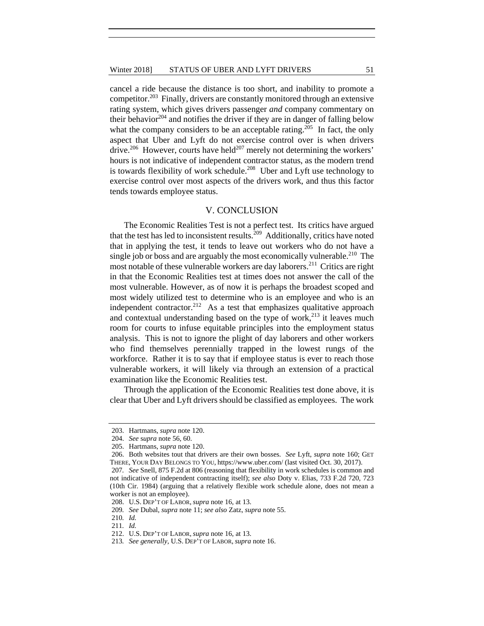cancel a ride because the distance is too short, and inability to promote a competitor.<sup>203</sup> Finally, drivers are constantly monitored through an extensive rating system, which gives drivers passenger *and* company commentary on their behavior<sup>204</sup> and notifies the driver if they are in danger of falling below what the company considers to be an acceptable rating.<sup>205</sup> In fact, the only aspect that Uber and Lyft do not exercise control over is when drivers drive.<sup>206</sup> However, courts have held<sup>207</sup> merely not determining the workers' hours is not indicative of independent contractor status, as the modern trend is towards flexibility of work schedule.<sup>208</sup> Uber and Lyft use technology to exercise control over most aspects of the drivers work, and thus this factor tends towards employee status.

#### V. CONCLUSION

The Economic Realities Test is not a perfect test. Its critics have argued that the test has led to inconsistent results.<sup>209</sup> Additionally, critics have noted that in applying the test, it tends to leave out workers who do not have a single job or boss and are arguably the most economically vulnerable.<sup>210</sup> The most notable of these vulnerable workers are day laborers.<sup>211</sup> Critics are right in that the Economic Realities test at times does not answer the call of the most vulnerable. However, as of now it is perhaps the broadest scoped and most widely utilized test to determine who is an employee and who is an independent contractor.<sup>212</sup> As a test that emphasizes qualitative approach and contextual understanding based on the type of work, $^{213}$  it leaves much room for courts to infuse equitable principles into the employment status analysis. This is not to ignore the plight of day laborers and other workers who find themselves perennially trapped in the lowest rungs of the workforce. Rather it is to say that if employee status is ever to reach those vulnerable workers, it will likely via through an extension of a practical examination like the Economic Realities test.

Through the application of the Economic Realities test done above, it is clear that Uber and Lyft drivers should be classified as employees. The work

 <sup>203.</sup> Hartmans, *supra* note 120.

 <sup>204.</sup> *See* s*upra* note 56, 60.

 <sup>205.</sup> Hartmans, *supra* note 120.

 <sup>206.</sup> Both websites tout that drivers are their own bosses. *See* Lyft, *supra* note 160; GET THERE, YOUR DAY BELONGS TO YOU, https://www.uber.com/ (last visited Oct. 30, 2017).

<sup>207</sup>*. See* Snell, 875 F.2d at 806 (reasoning that flexibility in work schedules is common and not indicative of independent contracting itself); *see also* Doty v. Elias, 733 F.2d 720, 723 (10th Cir. 1984) (arguing that a relatively flexible work schedule alone, does not mean a worker is not an employee).

 <sup>208.</sup> U.S. DEP'T OF LABOR, *supra* note 16, at 13.

<sup>209</sup>*. See* Dubal, *supra* note 11; *see also* Zatz, *supra* note 55.

<sup>210</sup>*. Id.*

<sup>211</sup>*. Id.*

 <sup>212.</sup> U.S. DEP'T OF LABOR, *supra* note 16, at 13.

<sup>213</sup>*. See generally,* U.S. DEP'T OF LABOR, *supra* note 16.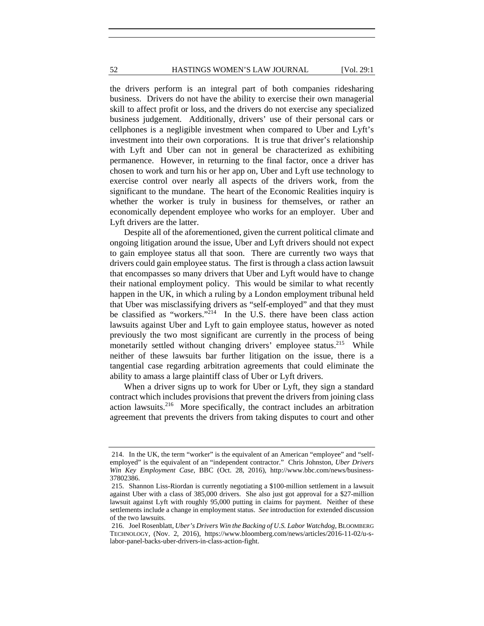52 HASTINGS WOMEN'S LAW JOURNAL [Vol. 29:1]

the drivers perform is an integral part of both companies ridesharing business. Drivers do not have the ability to exercise their own managerial skill to affect profit or loss, and the drivers do not exercise any specialized business judgement. Additionally, drivers' use of their personal cars or cellphones is a negligible investment when compared to Uber and Lyft's investment into their own corporations. It is true that driver's relationship with Lyft and Uber can not in general be characterized as exhibiting permanence. However, in returning to the final factor, once a driver has chosen to work and turn his or her app on, Uber and Lyft use technology to exercise control over nearly all aspects of the drivers work, from the significant to the mundane. The heart of the Economic Realities inquiry is whether the worker is truly in business for themselves, or rather an economically dependent employee who works for an employer. Uber and Lyft drivers are the latter.

Despite all of the aforementioned, given the current political climate and ongoing litigation around the issue, Uber and Lyft drivers should not expect to gain employee status all that soon. There are currently two ways that drivers could gain employee status. The first is through a class action lawsuit that encompasses so many drivers that Uber and Lyft would have to change their national employment policy. This would be similar to what recently happen in the UK, in which a ruling by a London employment tribunal held that Uber was misclassifying drivers as "self-employed" and that they must be classified as "workers."<sup>214</sup> In the U.S. there have been class action lawsuits against Uber and Lyft to gain employee status, however as noted previously the two most significant are currently in the process of being monetarily settled without changing drivers' employee status.<sup>215</sup> While neither of these lawsuits bar further litigation on the issue, there is a tangential case regarding arbitration agreements that could eliminate the ability to amass a large plaintiff class of Uber or Lyft drivers.

When a driver signs up to work for Uber or Lyft, they sign a standard contract which includes provisions that prevent the drivers from joining class action lawsuits.<sup>216</sup> More specifically, the contract includes an arbitration agreement that prevents the drivers from taking disputes to court and other

 <sup>214.</sup> In the UK, the term "worker" is the equivalent of an American "employee" and "selfemployed" is the equivalent of an "independent contractor." Chris Johnston, *Uber Drivers Win Key Employment Case*, BBC (Oct. 28, 2016), http://www.bbc.com/news/business-37802386.

 <sup>215.</sup> Shannon Liss-Riordan is currently negotiating a \$100-million settlement in a lawsuit against Uber with a class of 385,000 drivers. She also just got approval for a \$27-million lawsuit against Lyft with roughly 95,000 putting in claims for payment. Neither of these settlements include a change in employment status. *See* introduction for extended discussion of the two lawsuits.

 <sup>216.</sup> Joel Rosenblatt, *Uber's Drivers Win the Backing of U.S. Labor Watchdog,* BLOOMBERG TECHNOLOGY, (Nov. 2, 2016), https://www.bloomberg.com/news/articles/2016-11-02/u-slabor-panel-backs-uber-drivers-in-class-action-fight.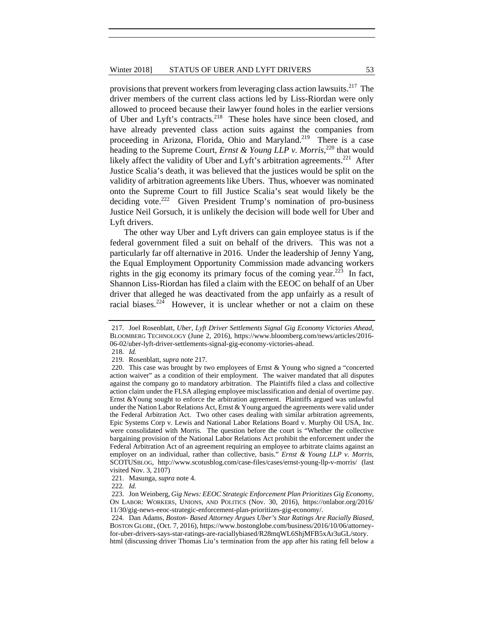provisions that prevent workers from leveraging class action lawsuits.<sup>217</sup> The driver members of the current class actions led by Liss-Riordan were only allowed to proceed because their lawyer found holes in the earlier versions of Uber and Lyft's contracts.<sup>218</sup> These holes have since been closed, and have already prevented class action suits against the companies from proceeding in Arizona, Florida, Ohio and Maryland.<sup>219</sup> There is a case heading to the Supreme Court, *Ernst & Young LLP v. Morris*,<sup>220</sup> that would likely affect the validity of Uber and Lyft's arbitration agreements.<sup>221</sup> After Justice Scalia's death, it was believed that the justices would be split on the validity of arbitration agreements like Ubers. Thus, whoever was nominated onto the Supreme Court to fill Justice Scalia's seat would likely be the deciding vote.<sup>222</sup> Given President Trump's nomination of pro-business Justice Neil Gorsuch, it is unlikely the decision will bode well for Uber and Lyft drivers.

The other way Uber and Lyft drivers can gain employee status is if the federal government filed a suit on behalf of the drivers. This was not a particularly far off alternative in 2016. Under the leadership of Jenny Yang, the Equal Employment Opportunity Commission made advancing workers rights in the gig economy its primary focus of the coming year.<sup>223</sup> In fact, Shannon Liss-Riordan has filed a claim with the EEOC on behalf of an Uber driver that alleged he was deactivated from the app unfairly as a result of racial biases.<sup>224</sup> However, it is unclear whether or not a claim on these

 <sup>217.</sup> Joel Rosenblatt, *Uber, Lyft Driver Settlements Signal Gig Economy Victories Ahead,*  BLOOMBERG TECHNOLOGY (June 2, 2016), https://www.bloomberg.com/news/articles/2016- 06-02/uber-lyft-driver-settlements-signal-gig-economy-victories-ahead.

<sup>218</sup>*. Id.*

<sup>219</sup>*.* Rosenblatt, *supra* note 217.

 <sup>220.</sup> This case was brought by two employees of Ernst & Young who signed a "concerted action waiver" as a condition of their employment. The waiver mandated that all disputes against the company go to mandatory arbitration. The Plaintiffs filed a class and collective action claim under the FLSA alleging employee misclassification and denial of overtime pay. Ernst &Young sought to enforce the arbitration agreement. Plaintiffs argued was unlawful under the Nation Labor Relations Act, Ernst  $&$  Young argued the agreements were valid under the Federal Arbitration Act. Two other cases dealing with similar arbitration agreements, Epic Systems Corp v. Lewis and National Labor Relations Board v. Murphy Oil USA, Inc. were consolidated with Morris. The question before the court is "Whether the collective bargaining provision of the National Labor Relations Act prohibit the enforcement under the Federal Arbitration Act of an agreement requiring an employee to arbitrate claims against an employer on an individual, rather than collective, basis." *Ernst & Young LLP v. Morris*, SCOTUSBLOG, http://www.scotusblog.com/case-files/cases/ernst-young-llp-v-morris/ (last visited Nov. 3, 2107)

 <sup>221.</sup> Masunga, *supra* note 4.

<sup>222</sup>*. Id.*

 <sup>223.</sup> Jon Weinberg, *Gig News: EEOC Strategic Enforcement Plan Prioritizes Gig Economy,*  ON LABOR: WORKERS, UNIONS, AND POLITICS (Nov. 30, 2016), https://onlabor.org/2016/ 11/30/gig-news-eeoc-strategic-enforcement-plan-prioritizes-gig-economy/.

 <sup>224.</sup> Dan Adams, *Boston- Based Attorney Argues Uber's Star Ratings Are Racially Biased,*  BOSTON GLOBE, (Oct. 7, 2016), https://www.bostonglobe.com/business/2016/10/06/attorneyfor-uber-drivers-says-star-ratings-are-raciallybiased/R28mqWL6ShjMFB5xAr3uGL/story. html (discussing driver Thomas Liu's termination from the app after his rating fell below a